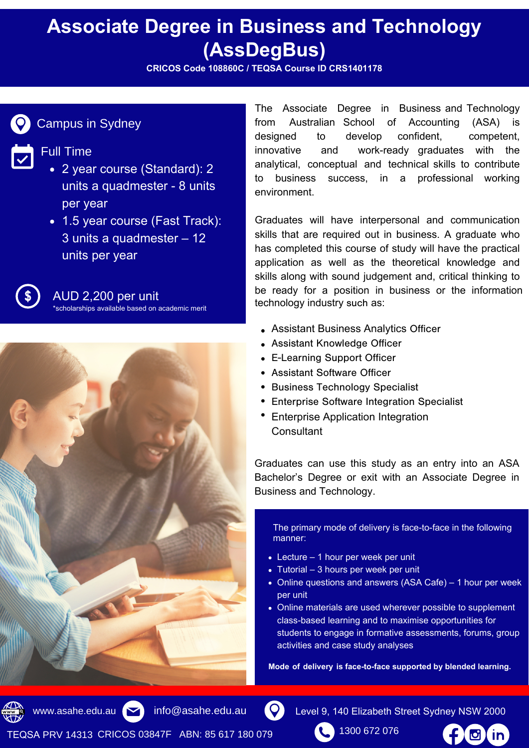# **Associate Degree in Business and Technology (AssDegBus)**

**CRICOS Code 108860C / TEQSA Course ID CRS1401178**



### Campus in Sydney

#### Full Time

- 2 year course (Standard): 2 units a quadmester - 8 units per year
- 1.5 year course (Fast Track): 3 units a quadmester – 12 units per year



AUD 2,200 per unit

scholarships available based on academic merit



The Associate Degree in Business and Technology from Australian School of Accounting (ASA) is designed to develop confident, competent, innovative and work-ready graduates with the analytical, conceptual and technical skills to contribute to business success, in a professional working environment.

Graduates will have interpersonal and communication skills that are required out in business. A graduate who has completed this course of study will have the practical application as well as the theoretical knowledge and skills along with sound judgement and, critical thinking to be ready for a position in business or the information technology industry such as:

- Assistant Business Analytics Officer
- Assistant Knowledge Officer
- E-Learning Support Officer
- Assistant Software Officer
- Business Technology Specialist
- Enterprise Software Integration Specialist
- Enterprise Application Integration **Consultant**

Graduates can use this study as an entry into an ASA Bachelor's Degree or exit with an Associate Degree in Business and Technology.

The primary mode of delivery is face-to-face in the following manner:

- Lecture 1 hour per week per unit
- Tutorial 3 hours per week per unit
- Online questions and answers (ASA Cafe) 1 hour per week per unit
- Online materials are used wherever possible to supplement class-based learning and to maximise opportunities for students to engage in formative assessments, forums, group activities and case study analyses

**Mode of delivery is face-to-face supported by blended learning.**

www.asahe.edu.au  $\blacktriangleright$  info@asahe.edu.au

 $\mathbf{Q}$ 

1300 672 076 Level 9, 140 Elizabeth Street Sydney NSW 2000

TEQSA PRV 14313 CRICOS 03847F ABN: 85 617 180 079